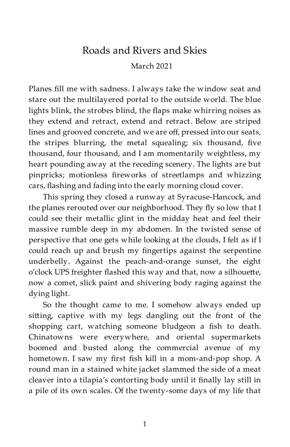## Roads and Rivers and Skies

March 2021

Planes fill me with sadness. I always take the window seat and stare out the multilayered portal to the outside world. The blue lights blink, the strobes blind, the flaps make whirring noises as they extend and retract, extend and retract. Below are striped lines and grooved concrete, and we are off, pressed into our seats, the stripes blurring, the metal squealing; six thousand, five thousand, four thousand, and I am momentarily weightless, my heart pounding away at the receding scenery. The lights are but pinpricks; motionless fireworks of streetlamps and whizzing cars, flashing and fading into the early morning cloud cover.

This spring they closed a runway at Syracuse-Hancock, and the planes rerouted over our neighborhood. They fly so low that I could see their metallic glint in the midday heat and feel their massive rumble deep in my abdomen. In the twisted sense of perspective that one gets while looking at the clouds, I felt as if I could reach up and brush my fingertips against the serpentine underbelly. Against the peach-and-orange sunset, the eight o'clock UPS freighter flashed this way and that, now a silhouette, now a comet, slick paint and shivering body raging against the dying light.

So the thought came to me. I somehow always ended up sitting, captive with my legs dangling out the front of the shopping cart, watching someone bludgeon a fish to death. Chinatowns were everywhere, and oriental supermarkets boomed and busted along the commercial avenue of my hometown. I saw my first fish kill in a mom-and-pop shop. A round man in a stained white jacket slammed the side of a meat cleaver into a tilapia's contorting body until it finally lay still in a pile of its own scales. Of the twenty-some days of my life that

1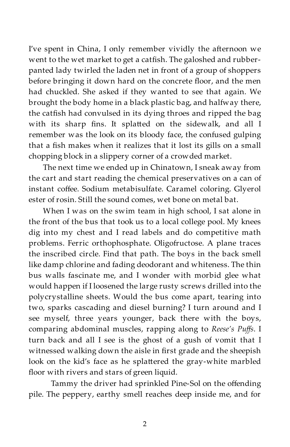I've spent in China, I only remember vividly the afternoon we went to the wet market to get a catfish. The galoshed and rubberpanted lady twirled the laden net in front of a group of shoppers before bringing it down hard on the concrete floor, and the men had chuckled. She asked if they wanted to see that again. We brought the body home in a black plastic bag, and halfway there, the catfish had convulsed in its dying throes and ripped the bag with its sharp fins. It splatted on the sidewalk, and all I remember was the look on its bloody face, the confused gulping that a fish makes when it realizes that it lost its gills on a small chopping block in a slippery corner of a crowded market.

The next time we ended up in Chinatown, I sneak away from the cart and start reading the chemical preservatives on a can of instant coffee. Sodium metabisulfate. Caramel coloring. Glyerol ester of rosin. Still the sound comes, wet bone on metal bat.

When I was on the swim team in high school, I sat alone in the front of the bus that took us to a local college pool. My knees dig into my chest and I read labels and do competitive math problems. Ferric orthophosphate. Oligofructose. A plane traces the inscribed circle. Find that path. The boys in the back smell like damp chlorine and fading deodorant and whiteness. The thin bus walls fascinate me, and I wonder with morbid glee what would happen if I loosened the large rusty screws drilled into the polycrystalline sheets. Would the bus come apart, tearing into two, sparks cascading and diesel burning? I turn around and I see myself, three years younger, back there with the boys, comparing abdominal muscles, rapping along to *Reese's Puffs*. I turn back and all I see is the ghost of a gush of vomit that I witnessed walking down the aisle in first grade and the sheepish look on the kid's face as he splattered the gray-white marbled floor with rivers and stars of green liquid.

Tammy the driver had sprinkled Pine-Sol on the offending pile. The peppery, earthy smell reaches deep inside me, and for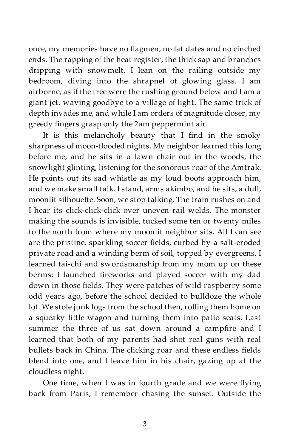once, my memories have no flagmen, no fat dates and no cinched ends. The rapping of the heat register, the thick sap and branches dripping with snowmelt. I lean on the railing outside my bedroom, diving into the shrapnel of glowing glass. I am airborne, as if the tree were the rushing ground below and I am a giant jet, waving goodbye to a village of light. The same trick of depth invades me, and while I am orders of magnitude closer, my greedy fingers grasp only the 2am peppermint air.

It is this melancholy beauty that I find in the smoky sharpness of moon-flooded nights. My neighbor learned this long before me, and he sits in a lawn chair out in the woods, the snowlight glinting, listening for the sonorous roar of the Amtrak. He points out its sad whistle as my loud boots approach him, and we make small talk. I stand, arms akimbo, and he sits, a dull, moonlit silhouette. Soon, we stop talking. The train rushes on and I hear its click-click-click over uneven rail welds. The monster making the sounds is invisible, tucked some ten or twenty miles to the north from where my moonlit neighbor sits. All I can see are the pristine, sparkling soccer fields, curbed by a salt-eroded private road and a winding berm of soil, topped by evergreens. I learned tai-chi and swordsmanship from my mom up on these berms; I launched fireworks and played soccer with my dad down in those fields. They were patches of wild raspberry some odd years ago, before the school decided to bulldoze the whole lot. We stole junk logs from the school then, rolling them home on a squeaky little wagon and turning them into patio seats. Last summer the three of us sat down around a campfire and I learned that both of my parents had shot real guns with real bullets back in China. The clicking roar and these endless fields blend into one, and I leave him in his chair, gazing up at the cloudless night.

One time, when I was in fourth grade and we were flying back from Paris, I remember chasing the sunset. Outside the